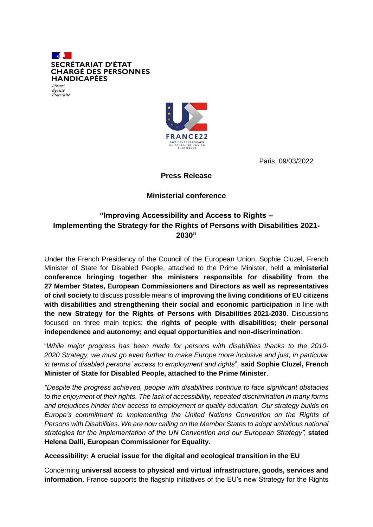



Paris, 09/03/2022

**Press Release**

## **Ministerial conference**

# **"Improving Accessibility and Access to Rights – Implementing the Strategy for the Rights of Persons with Disabilities 2021- 2030"**

Under the French Presidency of the Council of the European Union, Sophie Cluzel, French Minister of State for Disabled People, attached to the Prime Minister, held **a ministerial conference bringing together the ministers responsible for disability from the 27 Member States, European Commissioners and Directors as well as representatives of civil society** to discuss possible means of **improving the living conditions of EU citizens with disabilities and strengthening their social and economic participation** in line with **the new Strategy for the Rights of Persons with Disabilities 2021-2030**. Discussions focused on three main topics: **the rights of people with disabilities; their personal independence and autonomy; and equal opportunities and non-discrimination**.

"*While major progress has been made for persons with disabilities thanks to the 2010- 2020 Strategy, we must go even further to make Europe more inclusive and just, in particular in terms of disabled persons' access to employment and rights*", **said Sophie Cluzel, French Minister of State for Disabled People, attached to the Prime Minister**.

*"Despite the progress achieved, people with disabilities continue to face significant obstacles to the enjoyment of their rights. The lack of accessibility, repeated discrimination in many forms and prejudices hinder their access to employment or quality education. Our strategy builds on Europe's commitment to implementing the United Nations Convention on the Rights of Persons with Disabilities. We are now calling on the Member States to adopt ambitious national strategies for the implementation of the UN Convention and our European Strategy",* **stated Helena Dalli, European Commissioner for Equality**.

#### **Accessibility: A crucial issue for the digital and ecological transition in the EU**

Concerning **universal access to physical and virtual infrastructure, goods, services and information**, France supports the flagship initiatives of the EU's new Strategy for the Rights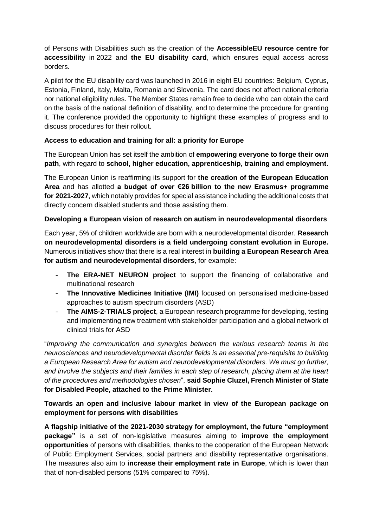of Persons with Disabilities such as the creation of the **AccessibleEU resource centre for accessibility** in 2022 and **the EU disability card**, which ensures equal access across borders.

A pilot for the EU disability card was launched in 2016 in eight EU countries: Belgium, Cyprus, Estonia, Finland, Italy, Malta, Romania and Slovenia. The card does not affect national criteria nor national eligibility rules. The Member States remain free to decide who can obtain the card on the basis of the national definition of disability, and to determine the procedure for granting it. The conference provided the opportunity to highlight these examples of progress and to discuss procedures for their rollout.

### **Access to education and training for all: a priority for Europe**

The European Union has set itself the ambition of **empowering everyone to forge their own path**, with regard to **school, higher education, apprenticeship, training and employment**.

The European Union is reaffirming its support for **the creation of the European Education Area** and has allotted **a budget of over €26 billion to the new Erasmus+ programme for 2021-2027**, which notably provides for special assistance including the additional costs that directly concern disabled students and those assisting them.

### **Developing a European vision of research on autism in neurodevelopmental disorders**

Each year, 5% of children worldwide are born with a neurodevelopmental disorder. **Research on neurodevelopmental disorders is a field undergoing constant evolution in Europe.** Numerous initiatives show that there is a real interest in **building a European Research Area for autism and neurodevelopmental disorders**, for example:

- **The ERA-NET NEURON project** to support the financing of collaborative and multinational research
- **The Innovative Medicines Initiative (IMI)** focused on personalised medicine-based approaches to autism spectrum disorders (ASD)
- **The AIMS-2-TRIALS project**, a European research programme for developing, testing and implementing new treatment with stakeholder participation and a global network of clinical trials for ASD

"*Improving the communication and synergies between the various research teams in the neurosciences and neurodevelopmental disorder fields is an essential pre-requisite to building a European Research Area for autism and neurodevelopmental disorders. We must go further, and involve the subjects and their families in each step of research, placing them at the heart of the procedures and methodologies chosen*", **said Sophie Cluzel, French Minister of State for Disabled People, attached to the Prime Minister.**

### **Towards an open and inclusive labour market in view of the European package on employment for persons with disabilities**

**A flagship initiative of the 2021-2030 strategy for employment, the future "employment package"** is a set of non-legislative measures aiming to **improve the employment opportunities** of persons with disabilities, thanks to the cooperation of the European Network of Public Employment Services, social partners and disability representative organisations. The measures also aim to **increase their employment rate in Europe**, which is lower than that of non-disabled persons (51% compared to 75%).